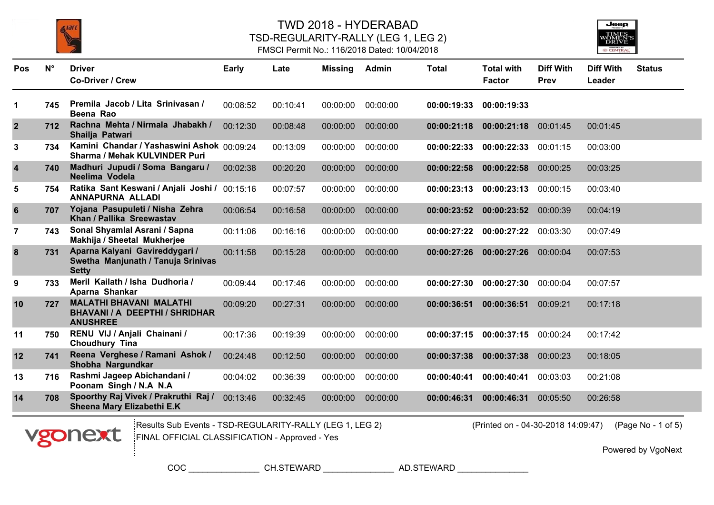





| <b>Pos</b>              | $N^{\circ}$ | <b>Driver</b><br><b>Co-Driver / Crew</b>                                             | Early    | Late     | <b>Missing</b> | Admin    | <b>Total</b> | <b>Total with</b><br><b>Factor</b> | <b>Diff With</b><br>Prev | <b>Diff With</b><br>Leader | <b>Status</b> |
|-------------------------|-------------|--------------------------------------------------------------------------------------|----------|----------|----------------|----------|--------------|------------------------------------|--------------------------|----------------------------|---------------|
| 1                       | 745         | Premila Jacob / Lita Srinivasan /<br>Beena Rao                                       | 00:08:52 | 00:10:41 | 00:00:00       | 00:00:00 | 00:00:19:33  | 00:00:19:33                        |                          |                            |               |
| $\overline{2}$          | 712         | Rachna Mehta / Nirmala Jhabakh /<br>Shailja Patwari                                  | 00:12:30 | 00:08:48 | 00:00:00       | 00:00:00 | 00:00:21:18  | 00:00:21:18                        | 00:01:45                 | 00:01:45                   |               |
| $\mathbf{3}$            | 734         | Kamini Chandar / Yashaswini Ashok 00:09:24<br><b>Sharma / Mehak KULVINDER Puri</b>   |          | 00:13:09 | 00:00:00       | 00:00:00 | 00:00:22:33  | 00:00:22:33                        | 00:01:15                 | 00:03:00                   |               |
| $\overline{\mathbf{4}}$ | 740         | Madhuri Jupudi / Soma Bangaru /<br>Neelima Vodela                                    | 00:02:38 | 00:20:20 | 00:00:00       | 00:00:00 | 00:00:22:58  | 00:00:22:58                        | 00:00:25                 | 00:03:25                   |               |
| 5                       | 754         | Ratika Sant Keswani / Anjali Joshi /<br>ANNAPURNA ALLADI                             | 00:15:16 | 00:07:57 | 00:00:00       | 00:00:00 | 00:00:23:13  | 00:00:23:13                        | 00:00:15                 | 00:03:40                   |               |
| $6\phantom{1}$          | 707         | Yojana Pasupuleti / Nisha Zehra<br>Khan / Pallika Sreewastav                         | 00:06:54 | 00:16:58 | 00:00:00       | 00:00:00 | 00:00:23:52  | 00:00:23:52                        | 00:00:39                 | 00:04:19                   |               |
| $\overline{7}$          | 743         | Sonal Shyamlal Asrani / Sapna<br>Makhija / Sheetal Mukherjee                         | 00:11:06 | 00:16:16 | 00:00:00       | 00:00:00 | 00:00:27:22  | 00:00:27:22                        | 00:03:30                 | 00:07:49                   |               |
| 8                       | 731         | Aparna Kalyani Gavireddygari /<br>Swetha Manjunath / Tanuja Srinivas<br><b>Setty</b> | 00:11:58 | 00:15:28 | 00:00:00       | 00:00:00 | 00:00:27:26  | 00:00:27:26                        | 00:00:04                 | 00:07:53                   |               |
| 9                       | 733         | Meril Kailath / Isha Dudhoria /<br>Aparna Shankar                                    | 00:09:44 | 00:17:46 | 00:00:00       | 00:00:00 | 00:00:27:30  | 00:00:27:30                        | 00:00:04                 | 00:07:57                   |               |
| 10                      | 727         | <b>MALATHI BHAVANI MALATHI</b><br>BHAVANI / A DEEPTHI / SHRIDHAR<br><b>ANUSHREE</b>  | 00:09:20 | 00:27:31 | 00:00:00       | 00:00:00 | 00:00:36:51  | 00:00:36:51                        | 00:09:21                 | 00:17:18                   |               |
| 11                      | 750         | RENU VIJ / Anjali Chainani /<br>Choudhury Tina                                       | 00:17:36 | 00:19:39 | 00:00:00       | 00:00:00 | 00:00:37:15  | 00:00:37:15                        | 00:00:24                 | 00:17:42                   |               |
| 12                      | 741         | Reena Verghese / Ramani Ashok /<br>Shobha Nargundkar                                 | 00:24:48 | 00:12:50 | 00:00:00       | 00:00:00 | 00:00:37:38  | 00:00:37:38                        | 00:00:23                 | 00:18:05                   |               |
| 13                      | 716         | Rashmi Jageep Abichandani /<br>Poonam Singh / N.A N.A                                | 00:04:02 | 00:36:39 | 00:00:00       | 00:00:00 | 00:00:40:41  | 00:00:40:41                        | 00:03:03                 | 00:21:08                   |               |
| 14                      | 708         | Spoorthy Raj Vivek / Prakruthi Raj /<br>Sheena Mary Elizabethi E.K                   | 00:13:46 | 00:32:45 | 00:00:00       | 00:00:00 | 00:00:46:31  | 00:00:46:31                        | 00:05:50                 | 00:26:58                   |               |



Results Sub Events - TSD-REGULARITY-RALLY (LEG 1, LEG 2) (Printed on - 04-30-2018 14:09:47) FINAL OFFICIAL CLASSIFICATION - Approved - Yes

(Printed on - 04-30-2018 14:09:47) (Page No - 1 of 5)

Powered by VgoNext

COC \_\_\_\_\_\_\_\_\_\_\_\_\_\_\_ CH.STEWARD \_\_\_\_\_\_\_\_\_\_\_\_\_\_\_ AD.STEWARD \_\_\_\_\_\_\_\_\_\_\_\_\_\_\_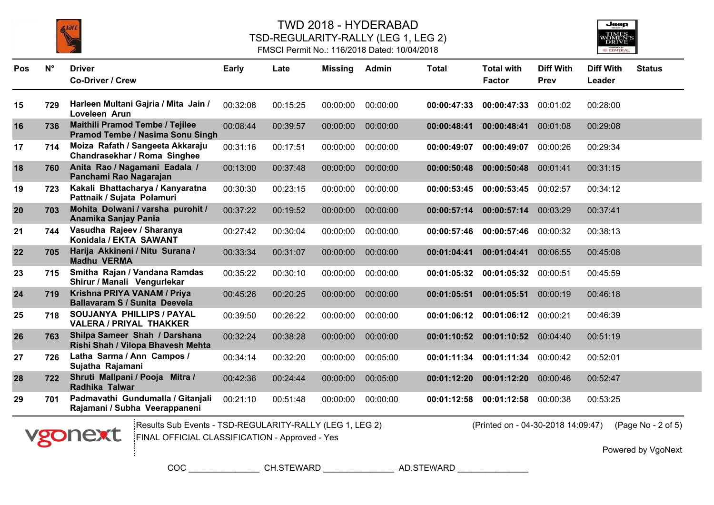



#### FMSCI Permit No.: 116/2018 Dated: 10/04/2018

| Pos | $N^{\circ}$ | <b>Driver</b>                                                       | <b>Early</b> | Late     | <b>Missing</b> | Admin    | <b>Total</b> | <b>Total with</b> | <b>Diff With</b> | <b>Diff With</b> | <b>Status</b> |
|-----|-------------|---------------------------------------------------------------------|--------------|----------|----------------|----------|--------------|-------------------|------------------|------------------|---------------|
|     |             | <b>Co-Driver / Crew</b>                                             |              |          |                |          |              | <b>Factor</b>     | <b>Prev</b>      | Leader           |               |
| 15  | 729         | Harleen Multani Gajria / Mita Jain /<br>Loveleen Arun               | 00:32:08     | 00:15:25 | 00:00:00       | 00:00:00 | 00:00:47:33  | 00:00:47:33       | 00:01:02         | 00:28:00         |               |
| 16  | 736         | Maithili Pramod Tembe / Tejilee<br>Pramod Tembe / Nasima Sonu Singh | 00:08:44     | 00:39:57 | 00:00:00       | 00:00:00 | 00:00:48:41  | 00:00:48:41       | 00:01:08         | 00:29:08         |               |
| 17  | 714         | Moiza Rafath / Sangeeta Akkaraju<br>Chandrasekhar / Roma Singhee    | 00:31:16     | 00:17:51 | 00:00:00       | 00:00:00 | 00:00:49:07  | 00:00:49:07       | 00:00:26         | 00:29:34         |               |
| 18  | 760         | Anita Rao / Nagamani Eadala /<br>Panchami Rao Nagarajan             | 00:13:00     | 00:37:48 | 00:00:00       | 00:00:00 | 00:00:50:48  | 00:00:50:48       | 00:01:41         | 00:31:15         |               |
| 19  | 723         | Kakali Bhattacharya / Kanyaratna<br>Pattnaik / Sujata Polamuri      | 00:30:30     | 00:23:15 | 00:00:00       | 00:00:00 | 00:00:53:45  | 00:00:53:45       | 00:02:57         | 00:34:12         |               |
| 20  | 703         | Mohita Dolwani / varsha purohit /<br>Anamika Sanjay Pania           | 00:37:22     | 00:19:52 | 00:00:00       | 00:00:00 | 00:00:57:14  | 00:00:57:14       | 00:03:29         | 00:37:41         |               |
| 21  | 744         | Vasudha Rajeev / Sharanya<br>Konidala / EKTA SAWANT                 | 00:27:42     | 00:30:04 | 00:00:00       | 00:00:00 | 00:00:57:46  | 00:00:57:46       | 00:00:32         | 00:38:13         |               |
| 22  | 705         | Harija Akkineni / Nitu Surana /<br><b>Madhu VERMA</b>               | 00:33:34     | 00:31:07 | 00:00:00       | 00:00:00 | 00:01:04:41  | 00:01:04:41       | 00:06:55         | 00:45:08         |               |
| 23  | 715         | Smitha Rajan / Vandana Ramdas<br>Shirur / Manali Vengurlekar        | 00:35:22     | 00:30:10 | 00:00:00       | 00:00:00 | 00:01:05:32  | 00:01:05:32       | 00:00:51         | 00:45:59         |               |
| 24  | 719         | Krishna PRIYA VANAM / Priya<br><b>Ballavaram S / Sunita Deevela</b> | 00:45:26     | 00:20:25 | 00:00:00       | 00:00:00 | 00:01:05:51  | 00:01:05:51       | 00:00:19         | 00:46:18         |               |
| 25  | 718         | SOUJANYA PHILLIPS / PAYAL<br><b>VALERA / PRIYAL THAKKER</b>         | 00:39:50     | 00:26:22 | 00:00:00       | 00:00:00 | 00:01:06:12  | 00:01:06:12       | 00:00:21         | 00:46:39         |               |
| 26  | 763         | Shilpa Sameer Shah / Darshana<br>Rishi Shah / Vilopa Bhavesh Mehta  | 00:32:24     | 00:38:28 | 00:00:00       | 00:00:00 | 00:01:10:52  | 00:01:10:52       | 00:04:40         | 00:51:19         |               |
| 27  | 726         | Latha Sarma / Ann Campos /<br>Sujatha Rajamani                      | 00:34:14     | 00:32:20 | 00:00:00       | 00:05:00 | 00:01:11:34  | 00:01:11:34       | 00:00:42         | 00:52:01         |               |
| 28  | 722         | Shruti Mallpani / Pooja Mitra /<br>Radhika Talwar                   | 00:42:36     | 00:24:44 | 00:00:00       | 00:05:00 | 00:01:12:20  | 00:01:12:20       | 00:00:46         | 00:52:47         |               |
| 29  | 701         | Padmavathi Gundumalla / Gitanjali<br>Rajamani / Subha Veerappaneni  | 00:21:10     | 00:51:48 | 00:00:00       | 00:00:00 | 00:01:12:58  | 00:01:12:58       | 00:00:38         | 00:53:25         |               |



Results Sub Events - TSD-REGULARITY-RALLY (LEG 1, LEG 2) (Printed on - 04-30-2018 14:09:47) FINAL OFFICIAL CLASSIFICATION - Approved - Yes

(Printed on - 04-30-2018 14:09:47) (Page No - 2 of 5)

Powered by VgoNext

COC \_\_\_\_\_\_\_\_\_\_\_\_\_\_\_ CH.STEWARD \_\_\_\_\_\_\_\_\_\_\_\_\_\_\_ AD.STEWARD \_\_\_\_\_\_\_\_\_\_\_\_\_\_\_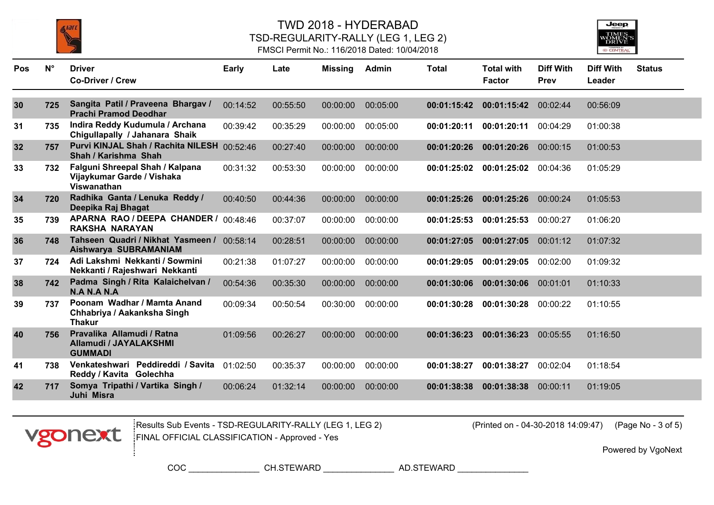





| <b>Pos</b> | $N^{\circ}$ | <b>Driver</b><br><b>Co-Driver / Crew</b>                                            | <b>Early</b> | Late     | <b>Missing</b> | Admin    | <b>Total</b> | <b>Total with</b><br><b>Factor</b> | <b>Diff With</b><br>Prev | <b>Diff With</b><br>Leader | <b>Status</b> |
|------------|-------------|-------------------------------------------------------------------------------------|--------------|----------|----------------|----------|--------------|------------------------------------|--------------------------|----------------------------|---------------|
|            |             | Sangita Patil / Praveena Bhargav /                                                  |              |          |                |          |              |                                    |                          |                            |               |
| 30         | 725         | <b>Prachi Pramod Deodhar</b>                                                        | 00:14:52     | 00:55:50 | 00:00:00       | 00:05:00 | 00:01:15:42  | 00:01:15:42                        | 00:02:44                 | 00:56:09                   |               |
| 31         | 735         | Indira Reddy Kudumula / Archana<br>Chigullapally / Jahanara Shaik                   | 00:39:42     | 00:35:29 | 00:00:00       | 00:05:00 | 00:01:20:11  | 00:01:20:11                        | 00:04:29                 | 01:00:38                   |               |
| 32         | 757         | Purvi KINJAL Shah / Rachita NILESH 00:52:46<br>Shah / Karishma Shah                 |              | 00:27:40 | 00:00:00       | 00:00:00 | 00:01:20:26  | 00:01:20:26                        | 00:00:15                 | 01:00:53                   |               |
| 33         | 732         | Falguni Shreepal Shah / Kalpana<br>Vijaykumar Garde / Vishaka<br><b>Viswanathan</b> | 00:31:32     | 00:53:30 | 00:00:00       | 00:00:00 | 00:01:25:02  | 00:01:25:02                        | 00:04:36                 | 01:05:29                   |               |
| 34         | 720         | Radhika Ganta / Lenuka Reddy /<br>Deepika Raj Bhagat                                | 00:40:50     | 00:44:36 | 00:00:00       | 00:00:00 | 00:01:25:26  | 00:01:25:26                        | 00:00:24                 | 01:05:53                   |               |
| 35         | 739         | APARNA RAO / DEEPA CHANDER / 00:48:46<br><b>RAKSHA NARAYAN</b>                      |              | 00:37:07 | 00:00:00       | 00:00:00 | 00:01:25:53  | 00:01:25:53                        | 00:00:27                 | 01:06:20                   |               |
| 36         | 748         | Tahseen Quadri / Nikhat Yasmeen / 00:58:14<br>Aishwarya SUBRAMANIAM                 |              | 00:28:51 | 00:00:00       | 00:00:00 | 00:01:27:05  | 00:01:27:05                        | 00:01:12                 | 01:07:32                   |               |
| 37         | 724         | Adi Lakshmi Nekkanti / Sowmini<br>Nekkanti / Rajeshwari Nekkanti                    | 00:21:38     | 01:07:27 | 00:00:00       | 00:00:00 | 00:01:29:05  | 00:01:29:05                        | 00:02:00                 | 01:09:32                   |               |
| 38         | 742         | Padma Singh / Rita Kalaichelvan /<br>N.A N.A N.A                                    | 00:54:36     | 00:35:30 | 00:00:00       | 00:00:00 | 00:01:30:06  | 00:01:30:06                        | 00:01:01                 | 01:10:33                   |               |
| 39         | 737         | Poonam Wadhar / Mamta Anand<br>Chhabriya / Aakanksha Singh<br><b>Thakur</b>         | 00:09:34     | 00:50:54 | 00:30:00       | 00:00:00 | 00:01:30:28  | 00:01:30:28                        | 00:00:22                 | 01:10:55                   |               |
| 40         | 756         | Pravalika Allamudi / Ratna<br>Allamudi / JAYALAKSHMI<br><b>GUMMADI</b>              | 01:09:56     | 00:26:27 | 00:00:00       | 00:00:00 | 00:01:36:23  | 00:01:36:23                        | 00:05:55                 | 01:16:50                   |               |
| 41         | 738         | Venkateshwari Peddireddi / Savita<br>Reddy / Kavita Golechha                        | 01:02:50     | 00:35:37 | 00:00:00       | 00:00:00 | 00:01:38:27  | 00:01:38:27                        | 00:02:04                 | 01:18:54                   |               |
| 42         | 717         | Somya Tripathi / Vartika Singh /<br>Juhi Misra                                      | 00:06:24     | 01:32:14 | 00:00:00       | 00:00:00 | 00:01:38:38  | 00:01:38:38                        | 00:00:11                 | 01:19:05                   |               |



Results Sub Events - TSD-REGULARITY-RALLY (LEG 1, LEG 2) (Printed on - 04-30-2018 14:09:47) FINAL OFFICIAL CLASSIFICATION - Approved - Yes

(Printed on - 04-30-2018 14:09:47) (Page No - 3 of 5)

Powered by VgoNext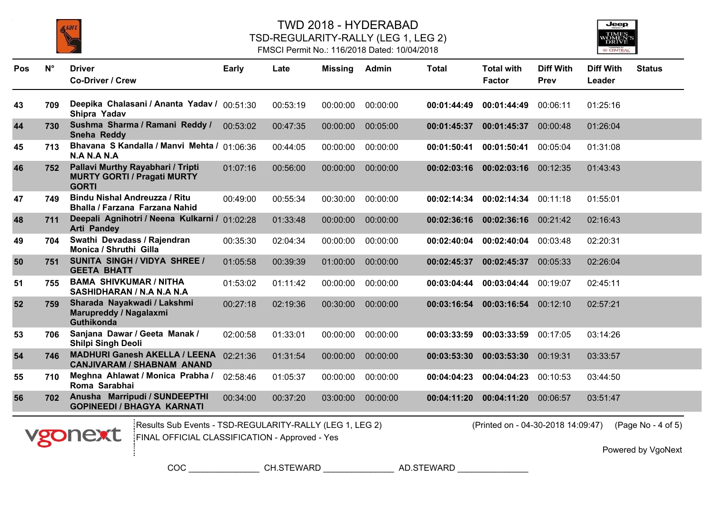





| <b>Pos</b> | $N^{\circ}$ | <b>Driver</b><br><b>Co-Driver / Crew</b>                                                | Early    | Late     | <b>Missing</b> | Admin    | <b>Total</b> | <b>Total with</b><br><b>Factor</b> | <b>Diff With</b><br>Prev | <b>Diff With</b><br>Leader | <b>Status</b> |
|------------|-------------|-----------------------------------------------------------------------------------------|----------|----------|----------------|----------|--------------|------------------------------------|--------------------------|----------------------------|---------------|
| 43         | 709         | Deepika Chalasani / Ananta Yadav / 00:51:30<br>Shipra Yadav                             |          | 00:53:19 | 00:00:00       | 00:00:00 | 00:01:44:49  | 00:01:44:49                        | 00:06:11                 | 01:25:16                   |               |
| 44         | 730         | Sushma Sharma / Ramani Reddy /<br>Sneha Reddy                                           | 00:53:02 | 00:47:35 | 00:00:00       | 00:05:00 | 00:01:45:37  | 00:01:45:37                        | 00:00:48                 | 01:26:04                   |               |
| 45         | 713         | Bhavana S Kandalla / Manvi Mehta / 01:06:36<br>N.A N.A N.A                              |          | 00:44:05 | 00:00:00       | 00:00:00 | 00:01:50:41  | 00:01:50:41                        | 00:05:04                 | 01:31:08                   |               |
| 46         | 752         | Pallavi Murthy Rayabhari / Tripti<br><b>MURTY GORTI / Pragati MURTY</b><br><b>GORTI</b> | 01:07:16 | 00:56:00 | 00:00:00       | 00:00:00 | 00:02:03:16  | 00:02:03:16                        | 00:12:35                 | 01:43:43                   |               |
| 47         | 749         | Bindu Nishal Andreuzza / Ritu<br>Bhalla / Farzana Farzana Nahid                         | 00:49:00 | 00:55:34 | 00:30:00       | 00:00:00 | 00:02:14:34  | 00:02:14:34                        | 00:11:18                 | 01:55:01                   |               |
| 48         | 711         | Deepali Agnihotri / Neena Kulkarni / 01:02:28<br><b>Arti Pandey</b>                     |          | 01:33:48 | 00:00:00       | 00:00:00 | 00:02:36:16  | 00:02:36:16                        | 00:21:42                 | 02:16:43                   |               |
| 49         | 704         | Swathi Devadass / Rajendran<br><b>Monica / Shruthi Gilla</b>                            | 00:35:30 | 02:04:34 | 00:00:00       | 00:00:00 | 00:02:40:04  | 00:02:40:04                        | 00:03:48                 | 02:20:31                   |               |
| 50         | 751         | SUNITA SINGH / VIDYA SHREE /<br><b>GEETA BHATT</b>                                      | 01:05:58 | 00:39:39 | 01:00:00       | 00:00:00 | 00:02:45:37  | 00:02:45:37                        | 00:05:33                 | 02:26:04                   |               |
| 51         | 755         | <b>BAMA SHIVKUMAR / NITHA</b><br>SASHIDHARAN / N.A N.A N.A                              | 01:53:02 | 01:11:42 | 00:00:00       | 00:00:00 | 00:03:04:44  | 00:03:04:44                        | 00:19:07                 | 02:45:11                   |               |
| 52         | 759         | Sharada Nayakwadi / Lakshmi<br>Marupreddy / Nagalaxmi<br><b>Guthikonda</b>              | 00:27:18 | 02:19:36 | 00:30:00       | 00:00:00 | 00:03:16:54  | 00:03:16:54                        | 00:12:10                 | 02:57:21                   |               |
| 53         | 706         | Sanjana Dawar / Geeta Manak /<br><b>Shilpi Singh Deoli</b>                              | 02:00:58 | 01:33:01 | 00:00:00       | 00:00:00 | 00:03:33:59  | 00:03:33:59                        | 00:17:05                 | 03:14:26                   |               |
| 54         | 746         | <b>MADHURI Ganesh AKELLA / LEENA</b><br><b>CANJIVARAM / SHABNAM ANAND</b>               | 02:21:36 | 01:31:54 | 00:00:00       | 00:00:00 | 00:03:53:30  | 00:03:53:30                        | 00:19:31                 | 03:33:57                   |               |
| 55         | 710         | Meghna Ahlawat / Monica Prabha /<br>Roma Sarabhai                                       | 02:58:46 | 01:05:37 | 00:00:00       | 00:00:00 | 00:04:04:23  | 00:04:04:23                        | 00:10:53                 | 03:44:50                   |               |
| 56         | 702         | Anusha Marripudi / SUNDEEPTHI<br><b>GOPINEEDI / BHAGYA KARNATI</b>                      | 00:34:00 | 00:37:20 | 03:00:00       | 00:00:00 | 00:04:11:20  | 00:04:11:20                        | 00:06:57                 | 03:51:47                   |               |



Results Sub Events - TSD-REGULARITY-RALLY (LEG 1, LEG 2) (Printed on - 04-30-2018 14:09:47) FINAL OFFICIAL CLASSIFICATION - Approved - Yes

(Printed on - 04-30-2018 14:09:47) (Page No - 4 of 5)

Powered by VgoNext

COC \_\_\_\_\_\_\_\_\_\_\_\_\_\_\_ CH.STEWARD \_\_\_\_\_\_\_\_\_\_\_\_\_\_\_ AD.STEWARD \_\_\_\_\_\_\_\_\_\_\_\_\_\_\_